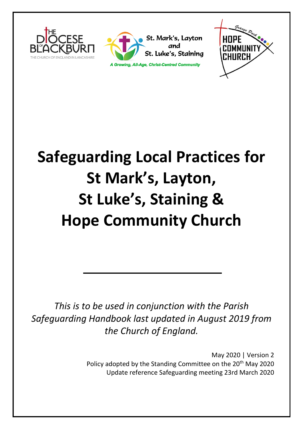





# **Safeguarding Local Practices for St Mark's, Layton, St Luke's, Staining & Hope Community Church**

*This is to be used in conjunction with the Parish Safeguarding Handbook last updated in August 2019 from the Church of England.*

> May 2020 | Version 2 Policy adopted by the Standing Committee on the 20<sup>th</sup> May 2020 Update reference Safeguarding meeting 23rd March 2020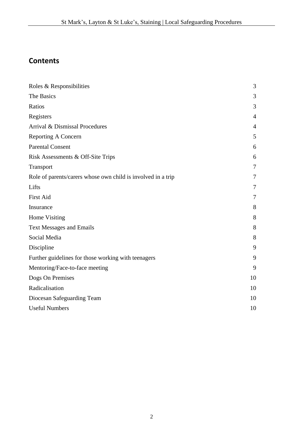# **Contents**

| Roles & Responsibilities                                     | 3              |
|--------------------------------------------------------------|----------------|
| The Basics                                                   | 3              |
| Ratios                                                       | 3              |
| Registers                                                    | $\overline{4}$ |
| Arrival & Dismissal Procedures                               | 4              |
| <b>Reporting A Concern</b>                                   | 5              |
| <b>Parental Consent</b>                                      | 6              |
| Risk Assessments & Off-Site Trips                            | 6              |
| Transport                                                    | $\overline{7}$ |
| Role of parents/carers whose own child is involved in a trip | 7              |
| Lifts                                                        | 7              |
| <b>First Aid</b>                                             | 7              |
| Insurance                                                    | 8              |
| Home Visiting                                                | 8              |
| <b>Text Messages and Emails</b>                              | 8              |
| Social Media                                                 | 8              |
| Discipline                                                   | 9              |
| Further guidelines for those working with teenagers          | 9              |
| Mentoring/Face-to-face meeting                               | 9              |
| Dogs On Premises                                             | 10             |
| Radicalisation                                               | 10             |
| Diocesan Safeguarding Team                                   | 10             |
| <b>Useful Numbers</b>                                        | 10             |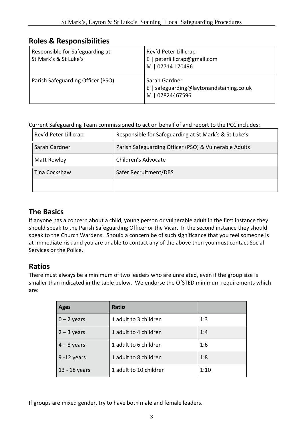# **Roles & Responsibilities**

| Responsible for Safeguarding at<br>St Mark's & St Luke's | Rev'd Peter Lillicrap<br>E   peterlillicrap@gmail.com<br>M   07714 170496    |
|----------------------------------------------------------|------------------------------------------------------------------------------|
| Parish Safeguarding Officer (PSO)                        | Sarah Gardner<br>E   safeguarding@laytonandstaining.co.uk<br>M   07824467596 |

#### Current Safeguarding Team commissioned to act on behalf of and report to the PCC includes:

| Rev'd Peter Lillicrap | Responsible for Safeguarding at St Mark's & St Luke's |
|-----------------------|-------------------------------------------------------|
| Sarah Gardner         | Parish Safeguarding Officer (PSO) & Vulnerable Adults |
| Matt Rowley           | Children's Advocate                                   |
| Tina Cockshaw         | Safer Recruitment/DBS                                 |
|                       |                                                       |

# **The Basics**

If anyone has a concern about a child, young person or vulnerable adult in the first instance they should speak to the Parish Safeguarding Officer or the Vicar. In the second instance they should speak to the Church Wardens. Should a concern be of such significance that you feel someone is at immediate risk and you are unable to contact any of the above then you must contact Social Services or the Police.

#### **Ratios**

There must always be a minimum of two leaders who are unrelated, even if the group size is smaller than indicated in the table below. We endorse the OfSTED minimum requirements which are:

| <b>Ages</b>    | Ratio                  |      |
|----------------|------------------------|------|
| $0 - 2$ years  | 1 adult to 3 children  | 1:3  |
| $2 - 3$ years  | 1 adult to 4 children  | 1:4  |
| $4 - 8$ years  | 1 adult to 6 children  | 1:6  |
| $9 - 12$ years | 1 adult to 8 children  | 1:8  |
| 13 - 18 years  | 1 adult to 10 children | 1:10 |

If groups are mixed gender, try to have both male and female leaders.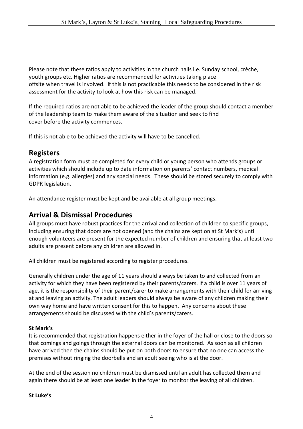Please note that these ratios apply to activities in the church halls i.e. Sunday school, crèche, youth groups etc. Higher ratios are recommended for activities taking place offsite when travel is involved. If this is not practicable this needs to be considered in the risk assessment for the activity to look at how this risk can be managed.

If the required ratios are not able to be achieved the leader of the group should contact a member of the leadership team to make them aware of the situation and seek to find cover before the activity commences.

If this is not able to be achieved the activity will have to be cancelled.

### **Registers**

A registration form must be completed for every child or young person who attends groups or activities which should include up to date information on parents' contact numbers, medical information (e.g. allergies) and any special needs. These should be stored securely to comply with GDPR legislation.

An attendance register must be kept and be available at all group meetings.

#### **Arrival & Dismissal Procedures**

All groups must have robust practices for the arrival and collection of children to specific groups, including ensuring that doors are not opened (and the chains are kept on at St Mark's) until enough volunteers are present for the expected number of children and ensuring that at least two adults are present before any children are allowed in.

All children must be registered according to register procedures.

Generally children under the age of 11 years should always be taken to and collected from an activity for which they have been registered by their parents/carers. If a child is over 11 years of age, it is the responsibility of their parent/carer to make arrangements with their child for arriving at and leaving an activity. The adult leaders should always be aware of any children making their own way home and have written consent for this to happen. Any concerns about these arrangements should be discussed with the child's parents/carers.

#### **St Mark's**

It is recommended that registration happens either in the foyer of the hall or close to the doors so that comings and goings through the external doors can be monitored. As soon as all children have arrived then the chains should be put on both doors to ensure that no one can access the premises without ringing the doorbells and an adult seeing who is at the door.

At the end of the session no children must be dismissed until an adult has collected them and again there should be at least one leader in the foyer to monitor the leaving of all children.

#### **St Luke's**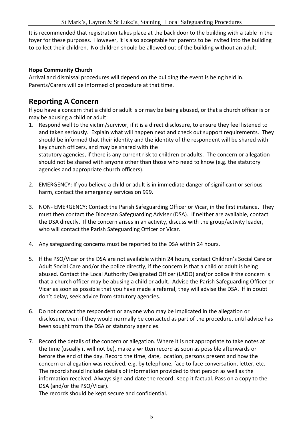It is recommended that registration takes place at the back door to the building with a table in the foyer for these purposes. However, it is also acceptable for parents to be invited into the building to collect their children. No children should be allowed out of the building without an adult.

#### **Hope Community Church**

Arrival and dismissal procedures will depend on the building the event is being held in. Parents/Carers will be informed of procedure at that time.

## **Reporting A Concern**

If you have a concern that a child or adult is or may be being abused, or that a church officer is or may be abusing a child or adult:

1. Respond well to the victim/survivor, if it is a direct disclosure, to ensure they feel listened to and taken seriously. Explain what will happen next and check out support requirements. They should be informed that their identity and the identity of the respondent will be shared with key church officers, and may be shared with the statutory agencies, if there is any current risk to children or adults. The concern or allegation

should not be shared with anyone other than those who need to know (e.g. the statutory agencies and appropriate church officers).

- 2. EMERGENCY: If you believe a child or adult is in immediate danger of significant or serious harm, contact the emergency services on 999.
- 3. NON- EMERGENCY: Contact the Parish Safeguarding Officer or Vicar, in the first instance. They must then contact the Diocesan Safeguarding Adviser (DSA). If neither are available, contact the DSA directly. If the concern arises in an activity, discuss with the group/activity leader, who will contact the Parish Safeguarding Officer or Vicar.
- 4. Any safeguarding concerns must be reported to the DSA within 24 hours.
- 5. If the PSO/Vicar or the DSA are not available within 24 hours, contact Children's Social Care or Adult Social Care and/or the police directly, if the concern is that a child or adult is being abused. Contact the Local Authority Designated Officer (LADO) and/or police if the concern is that a church officer may be abusing a child or adult. Advise the Parish Safeguarding Officer or Vicar as soon as possible that you have made a referral, they will advise the DSA. If in doubt don't delay, seek advice from statutory agencies.
- 6. Do not contact the respondent or anyone who may be implicated in the allegation or disclosure, even if they would normally be contacted as part of the procedure, until advice has been sought from the DSA or statutory agencies.
- 7. Record the details of the concern or allegation. Where it is not appropriate to take notes at the time (usually it will not be), make a written record as soon as possible afterwards or before the end of the day. Record the time, date, location, persons present and how the concern or allegation was received, e.g. by telephone, face to face conversation, letter, etc. The record should include details of information provided to that person as well as the information received. Always sign and date the record. Keep it factual. Pass on a copy to the DSA (and/or the PSO/Vicar).

The records should be kept secure and confidential.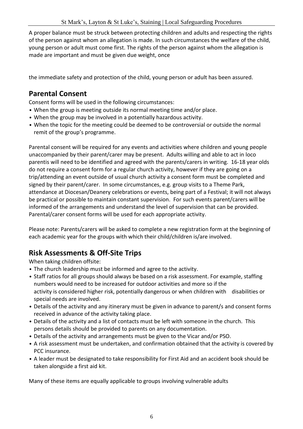A proper balance must be struck between protecting children and adults and respecting the rights of the person against whom an allegation is made. In such circumstances the welfare of the child, young person or adult must come first. The rights of the person against whom the allegation is made are important and must be given due weight, once

the immediate safety and protection of the child, young person or adult has been assured.

# **Parental Consent**

Consent forms will be used in the following circumstances:

- When the group is meeting outside its normal meeting time and/or place.
- When the group may be involved in a potentially hazardous activity.
- When the topic for the meeting could be deemed to be controversial or outside the normal remit of the group's programme.

Parental consent will be required for any events and activities where children and young people unaccompanied by their parent/carer may be present. Adults willing and able to act in loco parentis will need to be identified and agreed with the parents/carers in writing. 16-18 year olds do not require a consent form for a regular church activity, however if they are going on a trip/attending an event outside of usual church activity a consent form must be completed and signed by their parent/carer. In some circumstances, e.g. group visits to a Theme Park, attendance at Diocesan/Deanery celebrations or events, being part of a Festival; it will not always be practical or possible to maintain constant supervision. For such events parent/carers will be informed of the arrangements and understand the level of supervision that can be provided. Parental/carer consent forms will be used for each appropriate activity.

Please note: Parents/carers will be asked to complete a new registration form at the beginning of each academic year for the groups with which their child/children is/are involved.

# **Risk Assessments & Off-Site Trips**

When taking children offsite:

- The church leadership must be informed and agree to the activity.
- Staff ratios for all groups should always be based on a risk assessment. For example, staffing numbers would need to be increased for outdoor activities and more so if the activity is considered higher risk, potentially dangerous or when children with disabilities or special needs are involved.
- Details of the activity and any itinerary must be given in advance to parent/s and consent forms received in advance of the activity taking place.
- Details of the activity and a list of contacts must be left with someone in the church. This persons details should be provided to parents on any documentation.
- Details of the activity and arrangements must be given to the Vicar and/or PSO.
- A risk assessment must be undertaken, and confirmation obtained that the activity is covered by PCC insurance.
- A leader must be designated to take responsibility for First Aid and an accident book should be taken alongside a first aid kit.

Many of these items are equally applicable to groups involving vulnerable adults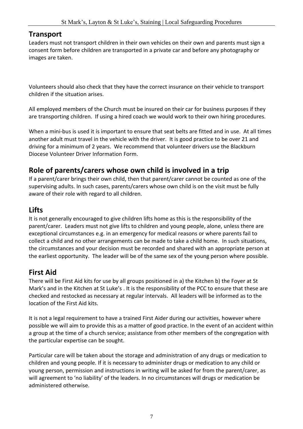#### **Transport**

Leaders must not transport children in their own vehicles on their own and parents must sign a consent form before children are transported in a private car and before any photography or images are taken.

Volunteers should also check that they have the correct insurance on their vehicle to transport children if the situation arises.

All employed members of the Church must be insured on their car for business purposes if they are transporting children. If using a hired coach we would work to their own hiring procedures.

When a mini-bus is used it is important to ensure that seat belts are fitted and in use. At all times another adult must travel in the vehicle with the driver. It is good practice to be over 21 and driving for a minimum of 2 years. We recommend that volunteer drivers use the Blackburn Diocese Volunteer Driver Information Form.

### **Role of parents/carers whose own child is involved in a trip**

If a parent/carer brings their own child, then that parent/carer cannot be counted as one of the supervising adults. In such cases, parents/carers whose own child is on the visit must be fully aware of their role with regard to all children.

# **Lifts**

It is not generally encouraged to give children lifts home as this is the responsibility of the parent/carer. Leaders must not give lifts to children and young people, alone, unless there are exceptional circumstances e.g. in an emergency for medical reasons or where parents fail to collect a child and no other arrangements can be made to take a child home. In such situations, the circumstances and your decision must be recorded and shared with an appropriate person at the earliest opportunity. The leader will be of the same sex of the young person where possible.

# **First Aid**

There will be First Aid kits for use by all groups positioned in a) the Kitchen b) the Foyer at St Mark's and in the Kitchen at St Luke's . It is the responsibility of the PCC to ensure that these are checked and restocked as necessary at regular intervals. All leaders will be informed as to the location of the First Aid kits.

It is not a legal requirement to have a trained First Aider during our activities, however where possible we will aim to provide this as a matter of good practice. In the event of an accident within a group at the time of a church service; assistance from other members of the congregation with the particular expertise can be sought.

Particular care will be taken about the storage and administration of any drugs or medication to children and young people. If it is necessary to administer drugs or medication to any child or young person, permission and instructions in writing will be asked for from the parent/carer, as will agreement to 'no liability' of the leaders. In no circumstances will drugs or medication be administered otherwise.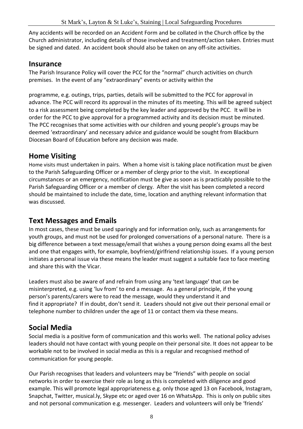Any accidents will be recorded on an Accident Form and be collated in the Church office by the Church administrator, including details of those involved and treatment/action taken. Entries must be signed and dated. An accident book should also be taken on any off-site activities.

#### **Insurance**

The Parish Insurance Policy will cover the PCC for the "normal" church activities on church premises. In the event of any "extraordinary" events or activity within the

programme, e.g. outings, trips, parties, details will be submitted to the PCC for approval in advance. The PCC will record its approval in the minutes of its meeting. This will be agreed subject to a risk assessment being completed by the key leader and approved by the PCC. It will be in order for the PCC to give approval for a programmed activity and its decision must be minuted. The PCC recognises that some activities with our children and young people's groups may be deemed 'extraordinary' and necessary advice and guidance would be sought from Blackburn Diocesan Board of Education before any decision was made.

# **Home Visiting**

Home visits must undertaken in pairs. When a home visit is taking place notification must be given to the Parish Safeguarding Officer or a member of clergy prior to the visit. In exceptional circumstances or an emergency, notification must be give as soon as is practicably possible to the Parish Safeguarding Officer or a member of clergy. After the visit has been completed a record should be maintained to include the date, time, location and anything relevant information that was discussed.

# **Text Messages and Emails**

In most cases, these must be used sparingly and for information only, such as arrangements for youth groups, and must not be used for prolonged conversations of a personal nature. There is a big difference between a text message/email that wishes a young person doing exams all the best and one that engages with, for example, boyfriend/girlfriend relationship issues. If a young person initiates a personal issue via these means the leader must suggest a suitable face to face meeting and share this with the Vicar.

Leaders must also be aware of and refrain from using any 'text language' that can be misinterpreted, e.g. using 'luv from' to end a message. As a general principle, if the young person's parents/carers were to read the message, would they understand it and find it appropriate? If in doubt, don't send it. Leaders should not give out their personal email or telephone number to children under the age of 11 or contact them via these means.

# **Social Media**

Social media is a positive form of communication and this works well. The national policy advises leaders should not have contact with young people on their personal site. It does not appear to be workable not to be involved in social media as this is a regular and recognised method of communication for young people.

Our Parish recognises that leaders and volunteers may be "friends" with people on social networks in order to exercise their role as long as this is completed with diligence and good example. This will promote legal appropriateness e.g. only those aged 13 on Facebook, Instagram, Snapchat, Twitter, musical.ly, Skype etc or aged over 16 on WhatsApp. This is only on public sites and not personal communication e.g. messenger. Leaders and volunteers will only be 'friends'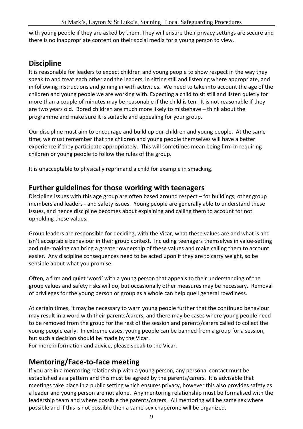with young people if they are asked by them. They will ensure their privacy settings are secure and there is no inappropriate content on their social media for a young person to view.

# **Discipline**

It is reasonable for leaders to expect children and young people to show respect in the way they speak to and treat each other and the leaders, in sitting still and listening where appropriate, and in following instructions and joining in with activities. We need to take into account the age of the children and young people we are working with. Expecting a child to sit still and listen quietly for more than a couple of minutes may be reasonable if the child is ten. It is not reasonable if they are two years old. Bored children are much more likely to misbehave – think about the programme and make sure it is suitable and appealing for your group.

Our discipline must aim to encourage and build up our children and young people. At the same time, we must remember that the children and young people themselves will have a better experience if they participate appropriately. This will sometimes mean being firm in requiring children or young people to follow the rules of the group.

It is unacceptable to physically reprimand a child for example in smacking.

#### **Further guidelines for those working with teenagers**

Discipline issues with this age group are often based around respect – for buildings, other group members and leaders - and safety issues. Young people are generally able to understand these issues, and hence discipline becomes about explaining and calling them to account for not upholding these values.

Group leaders are responsible for deciding, with the Vicar, what these values are and what is and isn't acceptable behaviour in their group context. Including teenagers themselves in value-setting and rule-making can bring a greater ownership of these values and make calling them to account easier. Any discipline consequences need to be acted upon if they are to carry weight, so be sensible about what you promise.

Often, a firm and quiet 'word' with a young person that appeals to their understanding of the group values and safety risks will do, but occasionally other measures may be necessary. Removal of privileges for the young person or group as a whole can help quell general rowdiness.

At certain times, it may be necessary to warn young people further that the continued behaviour may result in a word with their parents/carers, and there may be cases where young people need to be removed from the group for the rest of the session and parents/carers called to collect the young people early. In extreme cases, young people can be banned from a group for a session, but such a decision should be made by the Vicar.

For more information and advice, please speak to the Vicar.

# **Mentoring/Face-to-face meeting**

If you are in a mentoring relationship with a young person, any personal contact must be established as a pattern and this must be agreed by the parents/carers. It is advisable that meetings take place in a public setting which ensures privacy, however this also provides safety as a leader and young person are not alone. Any mentoring relationship must be formalised with the leadership team and where possible the parents/carers. All mentoring will be same sex where possible and if this is not possible then a same-sex chaperone will be organized.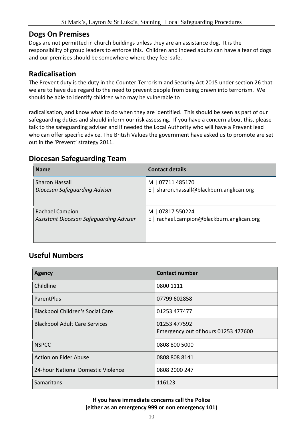#### **Dogs On Premises**

Dogs are not permitted in church buildings unless they are an assistance dog. It is the responsibility of group leaders to enforce this. Children and indeed adults can have a fear of dogs and our premises should be somewhere where they feel safe.

# **Radicalisation**

The Prevent duty is the duty in the Counter-Terrorism and Security Act 2015 under section 26 that we are to have due regard to the need to prevent people from being drawn into terrorism. We should be able to identify children who may be vulnerable to

radicalisation, and know what to do when they are identified. This should be seen as part of our safeguarding duties and should inform our risk assessing. If you have a concern about this, please talk to the safeguarding adviser and if needed the Local Authority who will have a Prevent lead who can offer specific advice. The British Values the government have asked us to promote are set out in the 'Prevent' strategy 2011.

### **Diocesan Safeguarding Team**

| <b>Name</b>                             | <b>Contact details</b>                     |
|-----------------------------------------|--------------------------------------------|
| <b>Sharon Hassall</b>                   | M   07711 485170                           |
| Diocesan Safeguarding Adviser           | E   sharon.hassall@blackburn.anglican.org  |
| Rachael Campion                         | M   07817 550224                           |
| Assistant Diocesan Safeguarding Adviser | E   rachael.campion@blackburn.anglican.org |

# **Useful Numbers**

| <b>Agency</b>                           | <b>Contact number</b>                               |
|-----------------------------------------|-----------------------------------------------------|
| Childline                               | 0800 1111                                           |
| ParentPlus                              | 07799 602858                                        |
| <b>Blackpool Children's Social Care</b> | 01253 477477                                        |
| <b>Blackpool Adult Care Services</b>    | 01253 477592<br>Emergency out of hours 01253 477600 |
| <b>NSPCC</b>                            | 0808 800 5000                                       |
| Action on Elder Abuse                   | 0808 808 8141                                       |
| 24-hour National Domestic Violence      | 0808 2000 247                                       |
| Samaritans                              | 116123                                              |

#### **If you have immediate concerns call the Police (either as an emergency 999 or non emergency 101)**